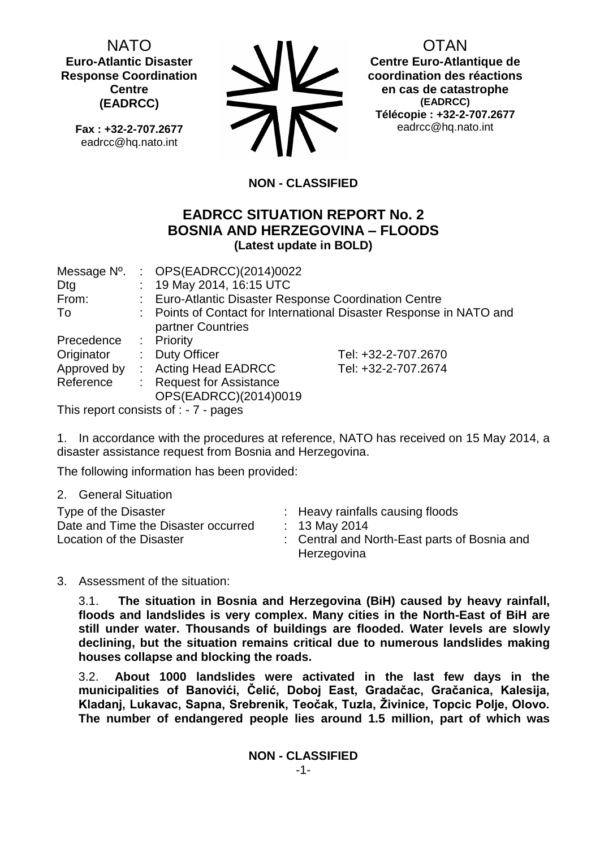NATO **Euro-Atlantic Disaster Response Coordination Centre (EADRCC)**

**Fax : +32-2-707.2677** eadrcc@hq.nato.int



OTAN

**Centre Euro-Atlantique de coordination des réactions en cas de catastrophe (EADRCC) Télécopie : +32-2-707.2677** eadrcc@hq.nato.int

# **NON - CLASSIFIED**

## **EADRCC SITUATION REPORT No. 2 BOSNIA AND HERZEGOVINA – FLOODS (Latest update in BOLD)**

| Message N°. | : $OPS(EADRCC)(2014)0022$                             |                                                                     |
|-------------|-------------------------------------------------------|---------------------------------------------------------------------|
| Dtg         | : 19 May 2014, 16:15 UTC                              |                                                                     |
| From:       | : Euro-Atlantic Disaster Response Coordination Centre |                                                                     |
| To          |                                                       | : Points of Contact for International Disaster Response in NATO and |
|             | partner Countries                                     |                                                                     |
| Precedence  | : Priority                                            |                                                                     |
| Originator  | : Duty Officer                                        | Tel: +32-2-707.2670                                                 |
| Approved by | : Acting Head EADRCC                                  | Tel: +32-2-707.2674                                                 |
| Reference   | : Request for Assistance                              |                                                                     |
|             | OPS(EADRCC)(2014)0019                                 |                                                                     |

This report consists of : - 7 - pages

1. In accordance with the procedures at reference, NATO has received on 15 May 2014, a disaster assistance request from Bosnia and Herzegovina.

The following information has been provided:

2. General Situation

3. Assessment of the situation:

3.1. **The situation in Bosnia and Herzegovina (BiH) caused by heavy rainfall, floods and landslides is very complex. Many cities in the North-East of BiH are still under water. Thousands of buildings are flooded. Water levels are slowly declining, but the situation remains critical due to numerous landslides making houses collapse and blocking the roads.**

3.2. **About 1000 landslides were activated in the last few days in the municipalities of Banovići, Čelić, Doboj East, Gradačac, Gračanica, Kalesija, Kladanj, Lukavac, Sapna, Srebrenik, Teočak, Tuzla, Živinice, Topcic Polje, Olovo. The number of endangered people lies around 1.5 million, part of which was**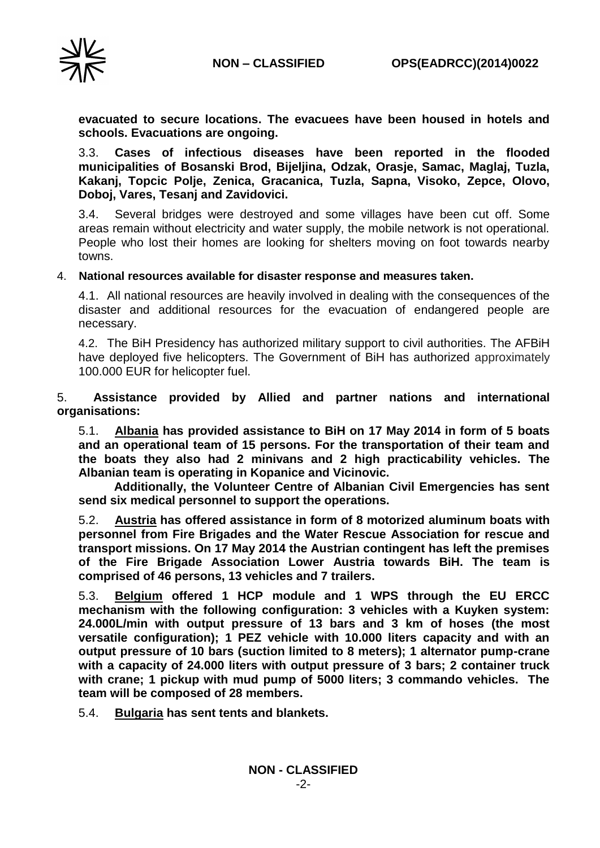

**evacuated to secure locations. The evacuees have been housed in hotels and schools. Evacuations are ongoing.**

3.3. **Cases of infectious diseases have been reported in the flooded municipalities of Bosanski Brod, Bijeljina, Odzak, Orasje, Samac, Maglaj, Tuzla, Kakanj, Topcic Polje, Zenica, Gracanica, Tuzla, Sapna, Visoko, Zepce, Olovo, Doboj, Vares, Tesanj and Zavidovici.**

3.4. Several bridges were destroyed and some villages have been cut off. Some areas remain without electricity and water supply, the mobile network is not operational. People who lost their homes are looking for shelters moving on foot towards nearby towns.

### 4. **National resources available for disaster response and measures taken.**

4.1. All national resources are heavily involved in dealing with the consequences of the disaster and additional resources for the evacuation of endangered people are necessary.

4.2. The BiH Presidency has authorized military support to civil authorities. The AFBiH have deployed five helicopters. The Government of BiH has authorized approximately 100.000 EUR for helicopter fuel.

5. **Assistance provided by Allied and partner nations and international organisations:**

5.1. **Albania has provided assistance to BiH on 17 May 2014 in form of 5 boats and an operational team of 15 persons. For the transportation of their team and the boats they also had 2 minivans and 2 high practicability vehicles. The Albanian team is operating in Kopanice and Vicinovic.** 

**Additionally, the Volunteer Centre of Albanian Civil Emergencies has sent send six medical personnel to support the operations.**

5.2. **Austria has offered assistance in form of 8 motorized aluminum boats with personnel from Fire Brigades and the Water Rescue Association for rescue and transport missions. On 17 May 2014 the Austrian contingent has left the premises of the Fire Brigade Association Lower Austria towards BiH. The team is comprised of 46 persons, 13 vehicles and 7 trailers.**

5.3. **Belgium offered 1 HCP module and 1 WPS through the EU ERCC mechanism with the following configuration: 3 vehicles with a Kuyken system: 24.000L/min with output pressure of 13 bars and 3 km of hoses (the most versatile configuration); 1 PEZ vehicle with 10.000 liters capacity and with an output pressure of 10 bars (suction limited to 8 meters); 1 alternator pump-crane with a capacity of 24.000 liters with output pressure of 3 bars; 2 container truck with crane; 1 pickup with mud pump of 5000 liters; 3 commando vehicles. The team will be composed of 28 members.**

5.4. **Bulgaria has sent tents and blankets.**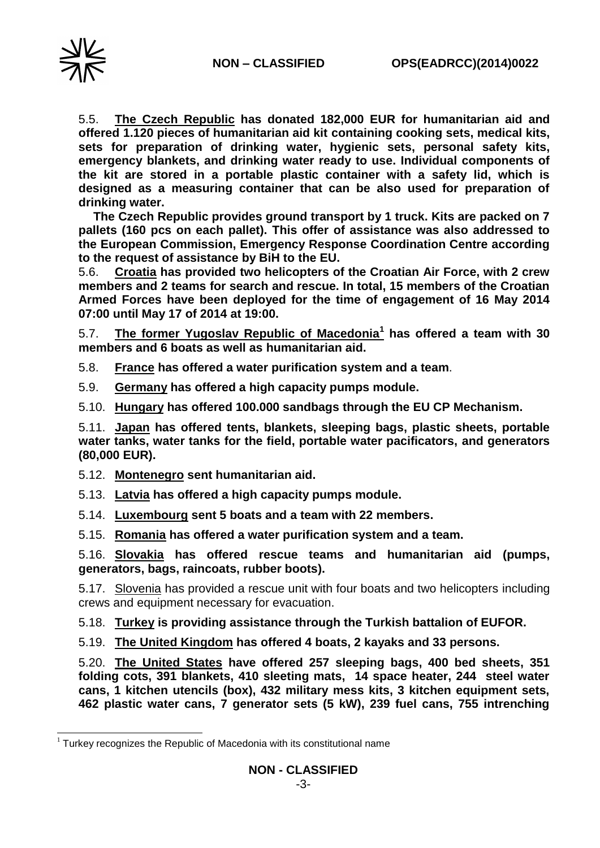

-

5.5. **The Czech Republic has donated 182,000 EUR for humanitarian aid and offered 1.120 pieces of humanitarian aid kit containing cooking sets, medical kits, sets for preparation of drinking water, hygienic sets, personal safety kits, emergency blankets, and drinking water ready to use. Individual components of the kit are stored in a portable plastic container with a safety lid, which is designed as a measuring container that can be also used for preparation of drinking water.** 

**The Czech Republic provides ground transport by 1 truck. Kits are packed on 7 pallets (160 pcs on each pallet). This offer of assistance was also addressed to the European Commission, Emergency Response Coordination Centre according to the request of assistance by BiH to the EU.**

5.6. **Croatia has provided two helicopters of the Croatian Air Force, with 2 crew members and 2 teams for search and rescue. In total, 15 members of the Croatian Armed Forces have been deployed for the time of engagement of 16 May 2014 07:00 until May 17 of 2014 at 19:00.**

5.7. **The former Yugoslav Republic of Macedonia<sup>1</sup> has offered a team with 30 members and 6 boats as well as humanitarian aid.**

- 5.8. **France has offered a water purification system and a team**.
- 5.9. **Germany has offered a high capacity pumps module.**

5.10. **Hungary has offered 100.000 sandbags through the EU CP Mechanism.**

5.11. **Japan has offered tents, blankets, sleeping bags, plastic sheets, portable water tanks, water tanks for the field, portable water pacificators, and generators (80,000 EUR).**

- 5.12. **Montenegro sent humanitarian aid.**
- 5.13. **Latvia has offered a high capacity pumps module.**
- 5.14. **Luxembourg sent 5 boats and a team with 22 members.**
- 5.15. **Romania has offered a water purification system and a team.**

5.16. **Slovakia has offered rescue teams and humanitarian aid (pumps, generators, bags, raincoats, rubber boots).**

5.17. Slovenia has provided a rescue unit with four boats and two helicopters including crews and equipment necessary for evacuation.

5.18. **Turkey is providing assistance through the Turkish battalion of EUFOR.**

5.19. **The United Kingdom has offered 4 boats, 2 kayaks and 33 persons.**

5.20. **The United States have offered 257 sleeping bags, 400 bed sheets, 351 folding cots, 391 blankets, 410 sleeting mats, 14 space heater, 244 steel water cans, 1 kitchen utencils (box), 432 military mess kits, 3 kitchen equipment sets, 462 plastic water cans, 7 generator sets (5 kW), 239 fuel cans, 755 intrenching** 

 $1$  Turkey recognizes the Republic of Macedonia with its constitutional name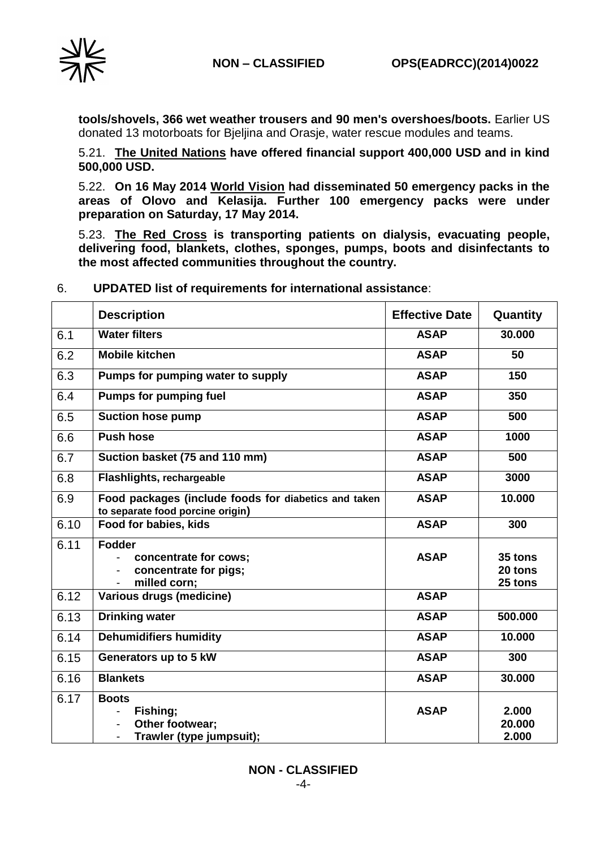

**tools/shovels, 366 wet weather trousers and 90 men's overshoes/boots.** Earlier US donated 13 motorboats for Bjeljina and Orasje, water rescue modules and teams.

5.21. **The United Nations have offered financial support 400,000 USD and in kind 500,000 USD.**

5.22. **On 16 May 2014 World Vision had disseminated 50 emergency packs in the areas of Olovo and Kelasija. Further 100 emergency packs were under preparation on Saturday, 17 May 2014.**

5.23. **The Red Cross is transporting patients on dialysis, evacuating people, delivering food, blankets, clothes, sponges, pumps, boots and disinfectants to the most affected communities throughout the country.**

|      | <b>Description</b>                                                                       | <b>Effective Date</b> | Quantity                      |
|------|------------------------------------------------------------------------------------------|-----------------------|-------------------------------|
| 6.1  | <b>Water filters</b>                                                                     | <b>ASAP</b>           | 30.000                        |
| 6.2  | <b>Mobile kitchen</b>                                                                    | <b>ASAP</b>           | 50                            |
| 6.3  | Pumps for pumping water to supply                                                        | <b>ASAP</b>           | 150                           |
| 6.4  | Pumps for pumping fuel                                                                   | <b>ASAP</b>           | 350                           |
| 6.5  | <b>Suction hose pump</b>                                                                 | <b>ASAP</b>           | 500                           |
| 6.6  | <b>Push hose</b>                                                                         | <b>ASAP</b>           | 1000                          |
| 6.7  | Suction basket (75 and 110 mm)                                                           | <b>ASAP</b>           | 500                           |
| 6.8  | Flashlights, rechargeable                                                                | <b>ASAP</b>           | 3000                          |
| 6.9  | Food packages (include foods for diabetics and taken<br>to separate food porcine origin) | <b>ASAP</b>           | 10.000                        |
| 6.10 | Food for babies, kids                                                                    | <b>ASAP</b>           | 300                           |
| 6.11 | <b>Fodder</b><br>concentrate for cows;<br>concentrate for pigs;<br>milled corn;          | <b>ASAP</b>           | 35 tons<br>20 tons<br>25 tons |
| 6.12 | Various drugs (medicine)                                                                 | <b>ASAP</b>           |                               |
| 6.13 | <b>Drinking water</b>                                                                    | <b>ASAP</b>           | 500.000                       |
| 6.14 | <b>Dehumidifiers humidity</b>                                                            | <b>ASAP</b>           | 10.000                        |
| 6.15 | Generators up to 5 kW                                                                    | <b>ASAP</b>           | 300                           |
| 6.16 | <b>Blankets</b>                                                                          | <b>ASAP</b>           | 30.000                        |
| 6.17 | <b>Boots</b><br>Fishing;<br>Other footwear;<br>Trawler (type jumpsuit);                  | <b>ASAP</b>           | 2.000<br>20.000<br>2.000      |

### 6. **UPDATED list of requirements for international assistance**: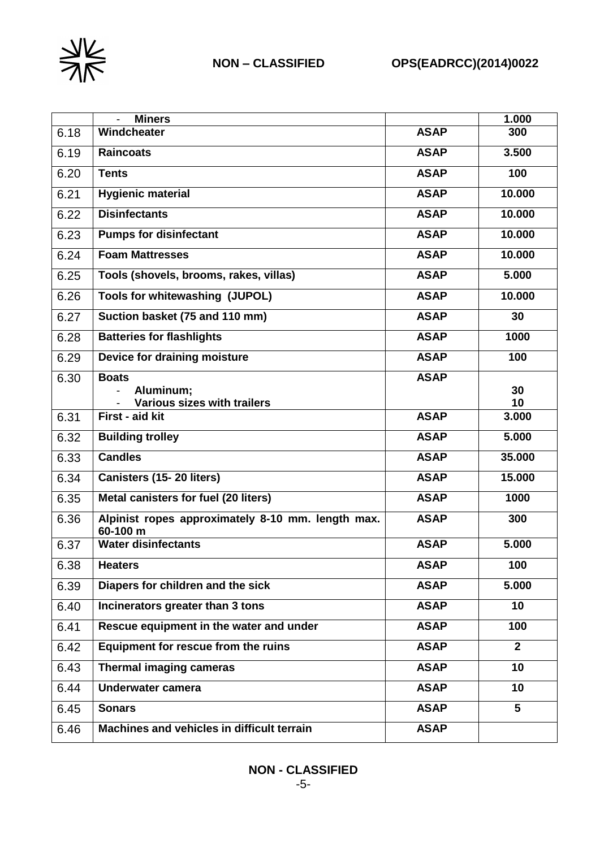

|      | <b>Miners</b>                                                 |             | 1.000        |
|------|---------------------------------------------------------------|-------------|--------------|
| 6.18 | Windcheater                                                   | <b>ASAP</b> | 300          |
| 6.19 | <b>Raincoats</b>                                              | <b>ASAP</b> | 3.500        |
| 6.20 | <b>Tents</b>                                                  | <b>ASAP</b> | 100          |
| 6.21 | <b>Hygienic material</b>                                      | <b>ASAP</b> | 10.000       |
| 6.22 | <b>Disinfectants</b>                                          | <b>ASAP</b> | 10.000       |
| 6.23 | <b>Pumps for disinfectant</b>                                 | <b>ASAP</b> | 10.000       |
| 6.24 | <b>Foam Mattresses</b>                                        | <b>ASAP</b> | 10.000       |
| 6.25 | Tools (shovels, brooms, rakes, villas)                        | <b>ASAP</b> | 5.000        |
| 6.26 | Tools for whitewashing (JUPOL)                                | <b>ASAP</b> | 10.000       |
| 6.27 | Suction basket (75 and 110 mm)                                | <b>ASAP</b> | 30           |
| 6.28 | <b>Batteries for flashlights</b>                              | <b>ASAP</b> | 1000         |
| 6.29 | Device for draining moisture                                  | <b>ASAP</b> | 100          |
| 6.30 | <b>Boats</b><br>Aluminum;<br>Various sizes with trailers      | <b>ASAP</b> | 30<br>10     |
| 6.31 | First - aid kit                                               | <b>ASAP</b> | 3.000        |
| 6.32 | <b>Building trolley</b>                                       | <b>ASAP</b> | 5.000        |
| 6.33 | <b>Candles</b>                                                | <b>ASAP</b> | 35.000       |
| 6.34 | Canisters (15-20 liters)                                      | <b>ASAP</b> | 15.000       |
| 6.35 | Metal canisters for fuel (20 liters)                          | <b>ASAP</b> | 1000         |
| 6.36 | Alpinist ropes approximately 8-10 mm. length max.<br>60-100 m | <b>ASAP</b> | 300          |
| 6.37 | <b>Water disinfectants</b>                                    | <b>ASAP</b> | 5.000        |
| 6.38 | <b>Heaters</b>                                                | <b>ASAP</b> | 100          |
| 6.39 | Diapers for children and the sick                             | <b>ASAP</b> | 5.000        |
| 6.40 | Incinerators greater than 3 tons                              | <b>ASAP</b> | 10           |
| 6.41 | Rescue equipment in the water and under                       | <b>ASAP</b> | 100          |
| 6.42 | <b>Equipment for rescue from the ruins</b>                    | <b>ASAP</b> | $\mathbf{2}$ |
| 6.43 | <b>Thermal imaging cameras</b>                                | <b>ASAP</b> | 10           |
| 6.44 | <b>Underwater camera</b>                                      | <b>ASAP</b> | 10           |
| 6.45 | <b>Sonars</b>                                                 | <b>ASAP</b> | 5            |
| 6.46 | Machines and vehicles in difficult terrain                    | <b>ASAP</b> |              |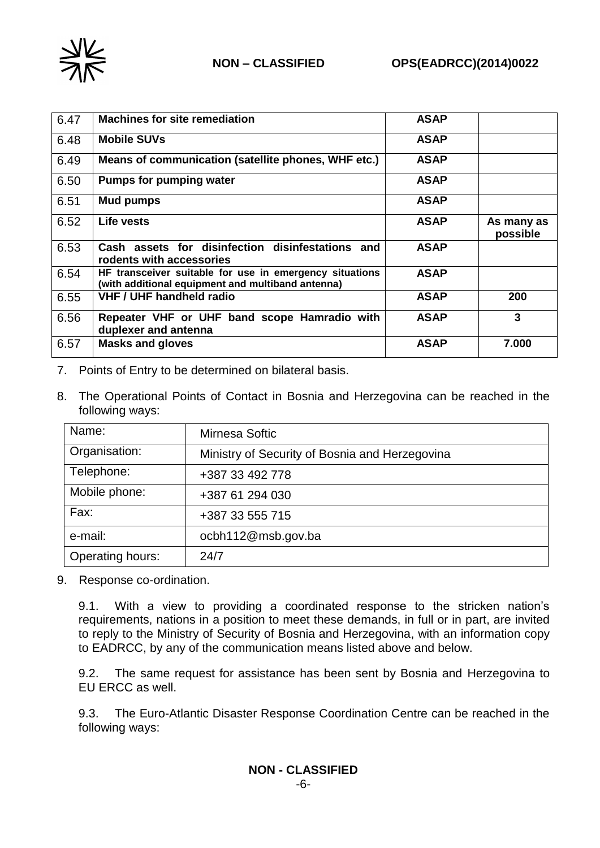

| 6.47 | <b>Machines for site remediation</b>                                                                         | <b>ASAP</b> |                        |
|------|--------------------------------------------------------------------------------------------------------------|-------------|------------------------|
| 6.48 | <b>Mobile SUVs</b>                                                                                           | <b>ASAP</b> |                        |
| 6.49 | Means of communication (satellite phones, WHF etc.)                                                          | <b>ASAP</b> |                        |
| 6.50 | Pumps for pumping water                                                                                      | <b>ASAP</b> |                        |
| 6.51 | Mud pumps                                                                                                    | <b>ASAP</b> |                        |
| 6.52 | Life vests                                                                                                   | <b>ASAP</b> | As many as<br>possible |
| 6.53 | Cash assets for disinfection disinfestations and<br>rodents with accessories                                 | <b>ASAP</b> |                        |
| 6.54 | HF transceiver suitable for use in emergency situations<br>(with additional equipment and multiband antenna) | <b>ASAP</b> |                        |
| 6.55 | <b>VHF / UHF handheld radio</b>                                                                              | <b>ASAP</b> | 200                    |
| 6.56 | Repeater VHF or UHF band scope Hamradio with<br>duplexer and antenna                                         | <b>ASAP</b> | 3                      |
| 6.57 | <b>Masks and gloves</b>                                                                                      | <b>ASAP</b> | 7.000                  |

- 7. Points of Entry to be determined on bilateral basis.
- 8. The Operational Points of Contact in Bosnia and Herzegovina can be reached in the following ways:

| Name:            | Mirnesa Softic                                 |
|------------------|------------------------------------------------|
| Organisation:    | Ministry of Security of Bosnia and Herzegovina |
| Telephone:       | +387 33 492 778                                |
| Mobile phone:    | +387 61 294 030                                |
| Fax:             | +387 33 555 715                                |
| e-mail:          | ocbh112@msb.gov.ba                             |
| Operating hours: | 24/7                                           |

9. Response co-ordination.

9.1. With a view to providing a coordinated response to the stricken nation's requirements, nations in a position to meet these demands, in full or in part, are invited to reply to the Ministry of Security of Bosnia and Herzegovina, with an information copy to EADRCC, by any of the communication means listed above and below.

9.2. The same request for assistance has been sent by Bosnia and Herzegovina to EU ERCC as well.

9.3. The Euro-Atlantic Disaster Response Coordination Centre can be reached in the following ways: